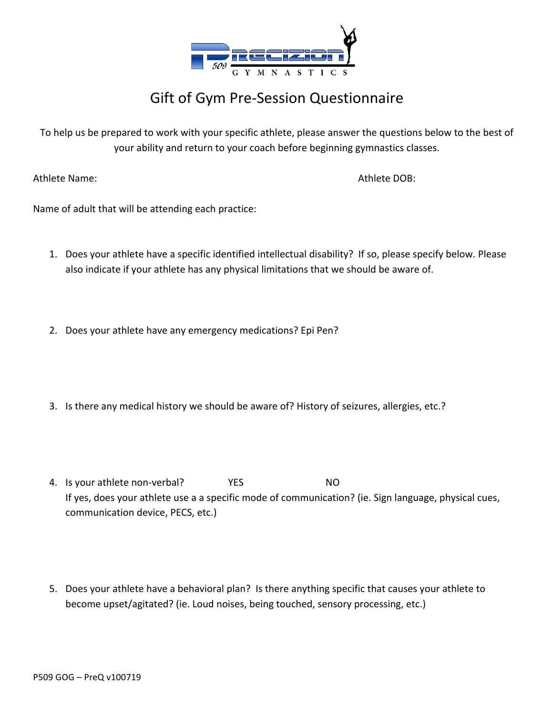

## Gift of Gym Pre-Session Questionnaire

To help us be prepared to work with your specific athlete, please answer the questions below to the best of your ability and return to your coach before beginning gymnastics classes.

Athlete Name: Athlete DOB:

Name of adult that will be attending each practice:

- 1. Does your athlete have a specific identified intellectual disability? If so, please specify below. Please also indicate if your athlete has any physical limitations that we should be aware of.
- 2. Does your athlete have any emergency medications? Epi Pen?
- 3. Is there any medical history we should be aware of? History of seizures, allergies, etc.?
- 4. Is your athlete non-verbal? The MC YES NO If yes, does your athlete use a a specific mode of communication? (ie. Sign language, physical cues, communication device, PECS, etc.)
- 5. Does your athlete have a behavioral plan? Is there anything specific that causes your athlete to become upset/agitated? (ie. Loud noises, being touched, sensory processing, etc.)